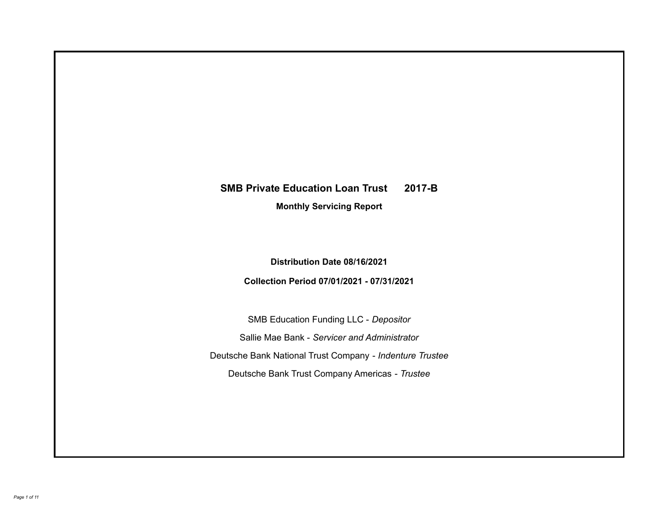# **SMB Private Education Loan Trust 2017-B**

**Monthly Servicing Report**

**Distribution Date 08/16/2021**

**Collection Period 07/01/2021 - 07/31/2021**

SMB Education Funding LLC - *Depositor* Sallie Mae Bank - *Servicer and Administrator* Deutsche Bank National Trust Company - *Indenture Trustee* Deutsche Bank Trust Company Americas - *Trustee*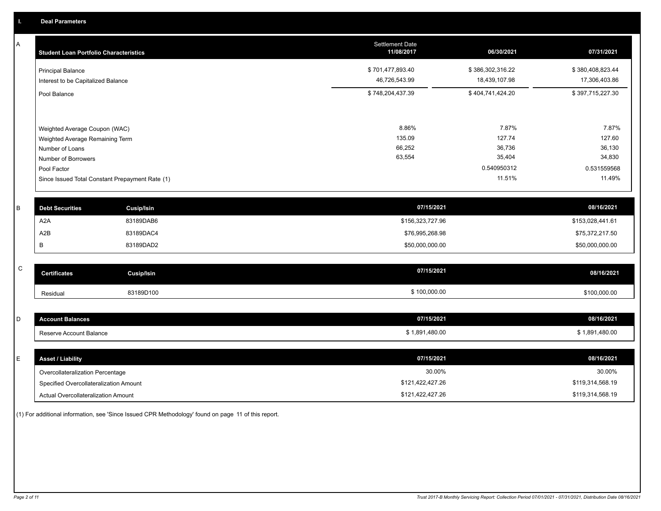A

| A | <b>Student Loan Portfolio Characteristics</b> |                                                 | <b>Settlement Date</b><br>11/08/2017 | 06/30/2021       | 07/31/2021       |
|---|-----------------------------------------------|-------------------------------------------------|--------------------------------------|------------------|------------------|
|   | <b>Principal Balance</b>                      |                                                 | \$701,477,893.40                     | \$386,302,316.22 | \$380,408,823.44 |
|   | Interest to be Capitalized Balance            |                                                 | 46,726,543.99                        | 18,439,107.98    | 17,306,403.86    |
|   | Pool Balance                                  |                                                 | \$748,204,437.39                     | \$404,741,424.20 | \$397,715,227.30 |
|   |                                               |                                                 |                                      |                  |                  |
|   | Weighted Average Coupon (WAC)                 |                                                 | 8.86%                                | 7.87%            | 7.87%            |
|   | Weighted Average Remaining Term               |                                                 | 135.09<br>66,252                     | 127.74<br>36,736 | 127.60<br>36,130 |
|   | Number of Loans<br>Number of Borrowers        |                                                 | 63,554                               | 35,404           | 34,830           |
|   | Pool Factor                                   |                                                 |                                      | 0.540950312      | 0.531559568      |
|   |                                               | Since Issued Total Constant Prepayment Rate (1) |                                      | 11.51%           | 11.49%           |
| B | <b>Debt Securities</b>                        | Cusip/Isin                                      | 07/15/2021                           |                  | 08/16/2021       |
|   | A <sub>2</sub> A                              | 83189DAB6                                       | \$156,323,727.96                     |                  | \$153,028,441.61 |
|   | A2B                                           | 83189DAC4                                       | \$76,995,268.98                      |                  | \$75,372,217.50  |
|   | В                                             | 83189DAD2                                       | \$50,000,000.00                      |                  | \$50,000,000.00  |
| C | <b>Certificates</b>                           | <b>Cusip/Isin</b>                               | 07/15/2021                           |                  | 08/16/2021       |
|   |                                               |                                                 |                                      |                  |                  |
|   | Residual                                      | 83189D100                                       | \$100,000.00                         |                  | \$100,000.00     |
|   |                                               |                                                 |                                      |                  |                  |
| D | <b>Account Balances</b>                       |                                                 | 07/15/2021                           |                  | 08/16/2021       |
|   | Reserve Account Balance                       |                                                 | \$1,891,480.00                       |                  | \$1,891,480.00   |
| E | <b>Asset / Liability</b>                      |                                                 | 07/15/2021                           |                  | 08/16/2021       |
|   |                                               |                                                 |                                      |                  |                  |
|   | Overcollateralization Percentage              |                                                 | 30.00%                               |                  | 30.00%           |
|   | Specified Overcollateralization Amount        |                                                 | \$121,422,427.26                     |                  | \$119,314,568.19 |

(1) For additional information, see 'Since Issued CPR Methodology' found on page 11 of this report.

Actual Overcollateralization Amount \$121,422,427.26

\$119,314,568.19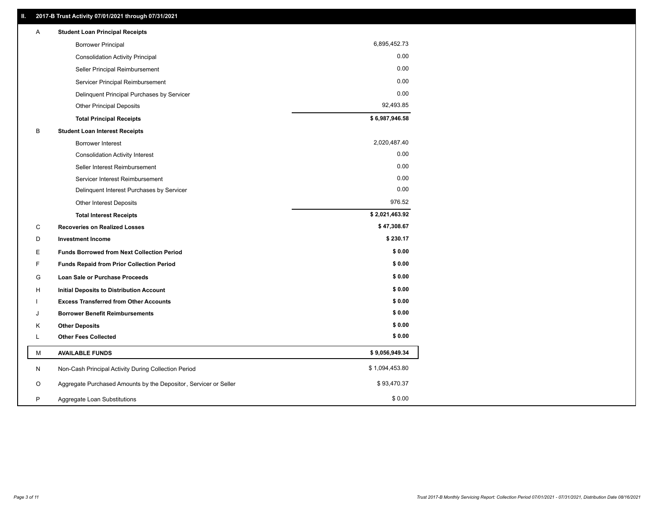| Α | <b>Student Loan Principal Receipts</b>                           |                |
|---|------------------------------------------------------------------|----------------|
|   | <b>Borrower Principal</b>                                        | 6,895,452.73   |
|   | <b>Consolidation Activity Principal</b>                          | 0.00           |
|   | Seller Principal Reimbursement                                   | 0.00           |
|   | Servicer Principal Reimbursement                                 | 0.00           |
|   | Delinquent Principal Purchases by Servicer                       | 0.00           |
|   | <b>Other Principal Deposits</b>                                  | 92,493.85      |
|   | <b>Total Principal Receipts</b>                                  | \$6,987,946.58 |
| B | <b>Student Loan Interest Receipts</b>                            |                |
|   | <b>Borrower Interest</b>                                         | 2,020,487.40   |
|   | <b>Consolidation Activity Interest</b>                           | 0.00           |
|   | Seller Interest Reimbursement                                    | 0.00           |
|   | Servicer Interest Reimbursement                                  | 0.00           |
|   | Delinquent Interest Purchases by Servicer                        | 0.00           |
|   | Other Interest Deposits                                          | 976.52         |
|   | <b>Total Interest Receipts</b>                                   | \$2,021,463.92 |
| C | <b>Recoveries on Realized Losses</b>                             | \$47,308.67    |
| D | <b>Investment Income</b>                                         | \$230.17       |
| E | <b>Funds Borrowed from Next Collection Period</b>                | \$0.00         |
| F | Funds Repaid from Prior Collection Period                        | \$0.00         |
| G | Loan Sale or Purchase Proceeds                                   | \$0.00         |
| н | <b>Initial Deposits to Distribution Account</b>                  | \$0.00         |
|   | <b>Excess Transferred from Other Accounts</b>                    | \$0.00         |
| J | <b>Borrower Benefit Reimbursements</b>                           | \$0.00         |
| Κ | <b>Other Deposits</b>                                            | \$0.00         |
| L | <b>Other Fees Collected</b>                                      | \$0.00         |
| M | <b>AVAILABLE FUNDS</b>                                           | \$9,056,949.34 |
| N | Non-Cash Principal Activity During Collection Period             | \$1,094,453.80 |
| O | Aggregate Purchased Amounts by the Depositor, Servicer or Seller | \$93,470.37    |
| P | Aggregate Loan Substitutions                                     | \$0.00         |
|   |                                                                  |                |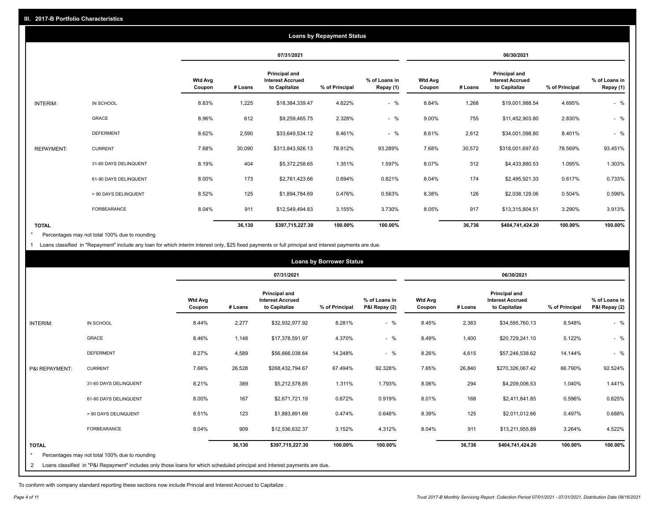| <b>Loans by Repayment Status</b> |                       |                          |            |                                                           |                |                            |                          |         |                                                           |                |                            |
|----------------------------------|-----------------------|--------------------------|------------|-----------------------------------------------------------|----------------|----------------------------|--------------------------|---------|-----------------------------------------------------------|----------------|----------------------------|
|                                  |                       |                          | 07/31/2021 |                                                           |                | 06/30/2021                 |                          |         |                                                           |                |                            |
|                                  |                       | <b>Wtd Avg</b><br>Coupon | # Loans    | Principal and<br><b>Interest Accrued</b><br>to Capitalize | % of Principal | % of Loans in<br>Repay (1) | <b>Wtd Avg</b><br>Coupon | # Loans | Principal and<br><b>Interest Accrued</b><br>to Capitalize | % of Principal | % of Loans in<br>Repay (1) |
| INTERIM:                         | IN SCHOOL             | 8.83%                    | 1,225      | \$18,384,339.47                                           | 4.622%         | $-$ %                      | 8.84%                    | 1,268   | \$19,001,988.54                                           | 4.695%         | $-$ %                      |
|                                  | <b>GRACE</b>          | 8.96%                    | 612        | \$9,259,465.75                                            | 2.328%         | $-$ %                      | 9.00%                    | 755     | \$11,452,903.80                                           | 2.830%         | $-$ %                      |
|                                  | <b>DEFERMENT</b>      | 8.62%                    | 2,590      | \$33,649,534.12                                           | 8.461%         | $-$ %                      | 8.61%                    | 2,612   | \$34,001,098.80                                           | 8.401%         | $-$ %                      |
| <b>REPAYMENT:</b>                | <b>CURRENT</b>        | 7.68%                    | 30,090     | \$313,843,926.13                                          | 78.912%        | 93.289%                    | 7.68%                    | 30,572  | \$318,001,697.63                                          | 78.569%        | 93.451%                    |
|                                  | 31-60 DAYS DELINQUENT | 8.19%                    | 404        | \$5,372,258.65                                            | 1.351%         | 1.597%                     | 8.07%                    | 312     | \$4,433,880.53                                            | 1.095%         | 1.303%                     |
|                                  | 61-90 DAYS DELINQUENT | 8.00%                    | 173        | \$2,761,423.66                                            | 0.694%         | 0.821%                     | 8.04%                    | 174     | \$2,495,921.33                                            | 0.617%         | 0.733%                     |
|                                  | > 90 DAYS DELINQUENT  | 8.52%                    | 125        | \$1,894,784.69                                            | 0.476%         | 0.563%                     | 8.38%                    | 126     | \$2,038,129.06                                            | 0.504%         | 0.599%                     |
|                                  | FORBEARANCE           | 8.04%                    | 911        | \$12,549,494.83                                           | 3.155%         | 3.730%                     | 8.05%                    | 917     | \$13,315,804.51                                           | 3.290%         | 3.913%                     |
| <b>TOTAL</b>                     |                       |                          | 36,130     | \$397,715,227.30                                          | 100.00%        | 100.00%                    |                          | 36,736  | \$404,741,424.20                                          | 100.00%        | 100.00%                    |

Percentages may not total 100% due to rounding \*

1 Loans classified in "Repayment" include any loan for which interim interest only, \$25 fixed payments or full principal and interest payments are due.

|                              |                                                                                                                                                                              |                          | <b>Loans by Borrower Status</b> |                                                                  |                |                                |                          |         |                                                                  |                |                                |
|------------------------------|------------------------------------------------------------------------------------------------------------------------------------------------------------------------------|--------------------------|---------------------------------|------------------------------------------------------------------|----------------|--------------------------------|--------------------------|---------|------------------------------------------------------------------|----------------|--------------------------------|
|                              |                                                                                                                                                                              |                          |                                 | 07/31/2021                                                       |                |                                | 06/30/2021               |         |                                                                  |                |                                |
|                              |                                                                                                                                                                              | <b>Wtd Avg</b><br>Coupon | # Loans                         | <b>Principal and</b><br><b>Interest Accrued</b><br>to Capitalize | % of Principal | % of Loans in<br>P&I Repay (2) | <b>Wtd Avg</b><br>Coupon | # Loans | <b>Principal and</b><br><b>Interest Accrued</b><br>to Capitalize | % of Principal | % of Loans in<br>P&I Repay (2) |
| <b>INTERIM:</b>              | IN SCHOOL                                                                                                                                                                    | 8.44%                    | 2,277                           | \$32,932,977.92                                                  | 8.281%         | $-$ %                          | 8.45%                    | 2,383   | \$34,595,760.13                                                  | 8.548%         | $-$ %                          |
|                              | <b>GRACE</b>                                                                                                                                                                 | 8.46%                    | 1,148                           | \$17,378,591.97                                                  | 4.370%         | $-$ %                          | 8.49%                    | 1,400   | \$20,729,241.10                                                  | 5.122%         | $-$ %                          |
|                              | <b>DEFERMENT</b>                                                                                                                                                             | 8.27%                    | 4,589                           | \$56,666,038.64                                                  | 14.248%        | $-$ %                          | 8.26%                    | 4,615   | \$57,246,538.62                                                  | 14.144%        | $-$ %                          |
| P&I REPAYMENT:               | <b>CURRENT</b>                                                                                                                                                               | 7.66%                    | 26,528                          | \$268,432,794.67                                                 | 67.494%        | 92.328%                        | 7.65%                    | 26,840  | \$270,326,067.42                                                 | 66.790%        | 92.524%                        |
|                              | 31-60 DAYS DELINQUENT                                                                                                                                                        | 8.21%                    | 389                             | \$5,212,578.85                                                   | 1.311%         | 1.793%                         | 8.06%                    | 294     | \$4,209,006.53                                                   | 1.040%         | 1.441%                         |
|                              | 61-90 DAYS DELINQUENT                                                                                                                                                        | 8.00%                    | 167                             | \$2,671,721.19                                                   | 0.672%         | 0.919%                         | 8.01%                    | 168     | \$2,411,841.85                                                   | 0.596%         | 0.825%                         |
|                              | > 90 DAYS DELINQUENT                                                                                                                                                         | 8.51%                    | 123                             | \$1,883,891.69                                                   | 0.474%         | 0.648%                         | 8.39%                    | 125     | \$2,011,012.66                                                   | 0.497%         | 0.688%                         |
|                              | FORBEARANCE                                                                                                                                                                  | 8.04%                    | 909                             | \$12,536,632.37                                                  | 3.152%         | 4.312%                         | 8.04%                    | 911     | \$13,211,955.89                                                  | 3.264%         | 4.522%                         |
| <b>TOTAL</b><br>$\star$<br>2 | Percentages may not total 100% due to rounding<br>Loans classified in "P&I Repayment" includes only those loans for which scheduled principal and interest payments are due. |                          | 36,130                          | \$397,715,227.30                                                 | 100.00%        | 100.00%                        |                          | 36,736  | \$404,741,424.20                                                 | 100.00%        | 100.00%                        |

To conform with company standard reporting these sections now include Princial and Interest Accrued to Capitalize .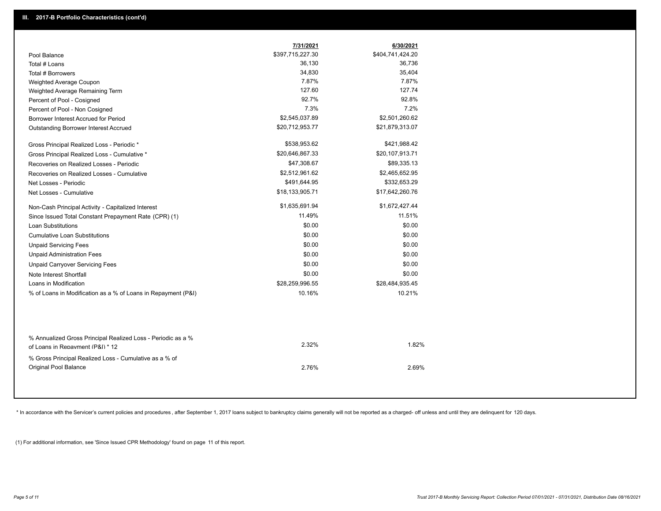|                                                                                                  | 7/31/2021        | 6/30/2021        |
|--------------------------------------------------------------------------------------------------|------------------|------------------|
| Pool Balance                                                                                     | \$397,715,227.30 | \$404,741,424.20 |
| Total # Loans                                                                                    | 36,130           | 36,736           |
| Total # Borrowers                                                                                | 34,830           | 35,404           |
| Weighted Average Coupon                                                                          | 7.87%            | 7.87%            |
| Weighted Average Remaining Term                                                                  | 127.60           | 127.74           |
| Percent of Pool - Cosigned                                                                       | 92.7%            | 92.8%            |
| Percent of Pool - Non Cosigned                                                                   | 7.3%             | 7.2%             |
| Borrower Interest Accrued for Period                                                             | \$2,545,037.89   | \$2,501,260.62   |
| <b>Outstanding Borrower Interest Accrued</b>                                                     | \$20,712,953.77  | \$21,879,313.07  |
| Gross Principal Realized Loss - Periodic *                                                       | \$538,953.62     | \$421,988.42     |
| Gross Principal Realized Loss - Cumulative *                                                     | \$20,646,867.33  | \$20,107,913.71  |
| Recoveries on Realized Losses - Periodic                                                         | \$47,308.67      | \$89,335.13      |
| Recoveries on Realized Losses - Cumulative                                                       | \$2,512,961.62   | \$2,465,652.95   |
| Net Losses - Periodic                                                                            | \$491,644.95     | \$332,653.29     |
| Net Losses - Cumulative                                                                          | \$18,133,905.71  | \$17,642,260.76  |
| Non-Cash Principal Activity - Capitalized Interest                                               | \$1,635,691.94   | \$1,672,427.44   |
| Since Issued Total Constant Prepayment Rate (CPR) (1)                                            | 11.49%           | 11.51%           |
| <b>Loan Substitutions</b>                                                                        | \$0.00           | \$0.00           |
| <b>Cumulative Loan Substitutions</b>                                                             | \$0.00           | \$0.00           |
| <b>Unpaid Servicing Fees</b>                                                                     | \$0.00           | \$0.00           |
| <b>Unpaid Administration Fees</b>                                                                | \$0.00           | \$0.00           |
| <b>Unpaid Carryover Servicing Fees</b>                                                           | \$0.00           | \$0.00           |
| Note Interest Shortfall                                                                          | \$0.00           | \$0.00           |
| Loans in Modification                                                                            | \$28,259,996.55  | \$28,484,935.45  |
| % of Loans in Modification as a % of Loans in Repayment (P&I)                                    | 10.16%           | 10.21%           |
|                                                                                                  |                  |                  |
| % Annualized Gross Principal Realized Loss - Periodic as a %<br>of Loans in Repayment (P&I) * 12 | 2.32%            | 1.82%            |
| % Gross Principal Realized Loss - Cumulative as a % of<br>Original Pool Balance                  | 2.76%            | 2.69%            |

\* In accordance with the Servicer's current policies and procedures, after September 1, 2017 loans subject to bankruptcy claims generally will not be reported as a charged- off unless and until they are delinquent for 120

(1) For additional information, see 'Since Issued CPR Methodology' found on page 11 of this report.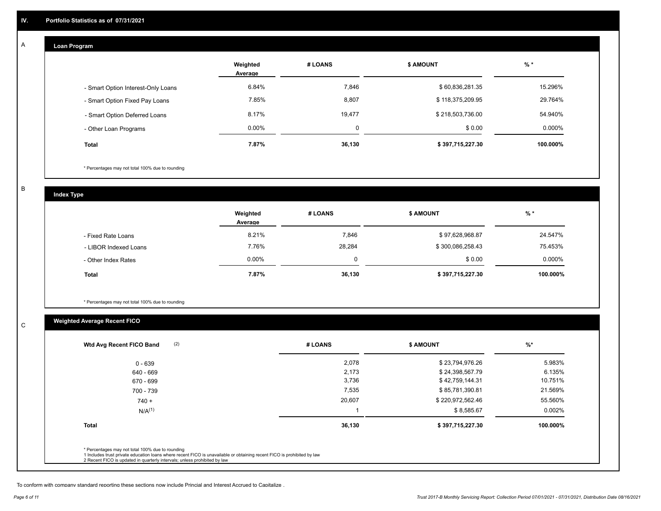## **Loan Program**

A

|                                    | Weighted<br>Average | # LOANS | <b>\$ AMOUNT</b> | $%$ *    |
|------------------------------------|---------------------|---------|------------------|----------|
| - Smart Option Interest-Only Loans | 6.84%               | 7,846   | \$60,836,281.35  | 15.296%  |
| - Smart Option Fixed Pay Loans     | 7.85%               | 8,807   | \$118,375,209.95 | 29.764%  |
| - Smart Option Deferred Loans      | 8.17%               | 19,477  | \$218,503,736.00 | 54.940%  |
| - Other Loan Programs              | $0.00\%$            | 0       | \$0.00           | 0.000%   |
| <b>Total</b>                       | 7.87%               | 36,130  | \$397,715,227.30 | 100.000% |

\* Percentages may not total 100% due to rounding

B

C

**Index Type**

|                       | Weighted<br>Average | # LOANS | <b>\$ AMOUNT</b> | $%$ *     |
|-----------------------|---------------------|---------|------------------|-----------|
| - Fixed Rate Loans    | 8.21%               | 7,846   | \$97,628,968.87  | 24.547%   |
| - LIBOR Indexed Loans | 7.76%               | 28,284  | \$300,086,258.43 | 75.453%   |
| - Other Index Rates   | $0.00\%$            |         | \$0.00           | $0.000\%$ |
| <b>Total</b>          | 7.87%               | 36,130  | \$397,715,227.30 | 100.000%  |

\* Percentages may not total 100% due to rounding

# **Weighted Average Recent FICO**

| $0 - 639$    | 2,078  | \$23,794,976.26  | 5.983%    |
|--------------|--------|------------------|-----------|
| 640 - 669    | 2,173  | \$24,398,567.79  | 6.135%    |
| 670 - 699    | 3,736  | \$42,759,144.31  | 10.751%   |
| 700 - 739    | 7,535  | \$85,781,390.81  | 21.569%   |
| $740 +$      | 20,607 | \$220,972,562.46 | 55.560%   |
| $N/A^{(1)}$  |        | \$8,585.67       | $0.002\%$ |
| <b>Total</b> | 36,130 | \$397,715,227.30 | 100.000%  |

To conform with company standard reporting these sections now include Princial and Interest Accrued to Capitalize .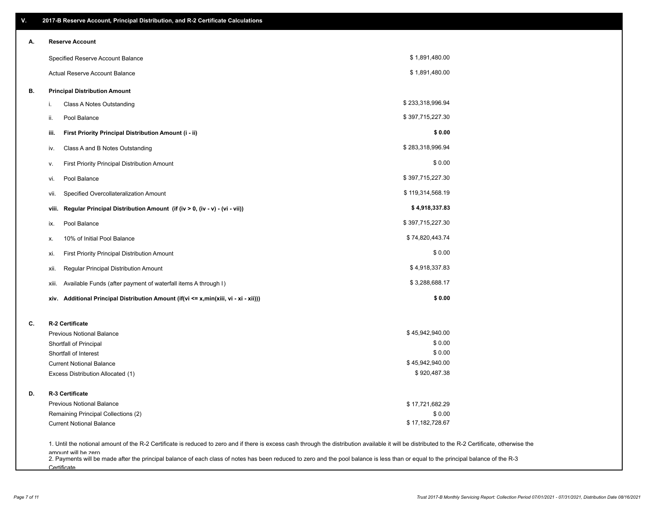| ۷. | 2017-B Reserve Account, Principal Distribution, and R-2 Certificate Calculations                                                                                                                                          |                  |  |
|----|---------------------------------------------------------------------------------------------------------------------------------------------------------------------------------------------------------------------------|------------------|--|
| А. | <b>Reserve Account</b>                                                                                                                                                                                                    |                  |  |
|    | Specified Reserve Account Balance                                                                                                                                                                                         | \$1,891,480.00   |  |
|    | Actual Reserve Account Balance                                                                                                                                                                                            | \$1,891,480.00   |  |
| В. | <b>Principal Distribution Amount</b>                                                                                                                                                                                      |                  |  |
|    | Class A Notes Outstanding<br>i.                                                                                                                                                                                           | \$233,318,996.94 |  |
|    | Pool Balance<br>ii.                                                                                                                                                                                                       | \$397,715,227.30 |  |
|    | First Priority Principal Distribution Amount (i - ii)<br>iii.                                                                                                                                                             | \$0.00           |  |
|    | Class A and B Notes Outstanding<br>iv.                                                                                                                                                                                    | \$283,318,996.94 |  |
|    | First Priority Principal Distribution Amount<br>۷.                                                                                                                                                                        | \$0.00           |  |
|    | Pool Balance<br>VI.                                                                                                                                                                                                       | \$397,715,227.30 |  |
|    | Specified Overcollateralization Amount<br>vii.                                                                                                                                                                            | \$119,314,568.19 |  |
|    | Regular Principal Distribution Amount (if (iv > 0, (iv - v) - (vi - vii))<br>viii.                                                                                                                                        | \$4,918,337.83   |  |
|    | Pool Balance<br>ix.                                                                                                                                                                                                       | \$397,715,227.30 |  |
|    | 10% of Initial Pool Balance<br>х.                                                                                                                                                                                         | \$74,820,443.74  |  |
|    | First Priority Principal Distribution Amount<br>xi.                                                                                                                                                                       | \$0.00           |  |
|    | Regular Principal Distribution Amount<br>xii.                                                                                                                                                                             | \$4,918,337.83   |  |
|    | Available Funds (after payment of waterfall items A through I)<br>xiii.                                                                                                                                                   | \$3,288,688.17   |  |
|    | Additional Principal Distribution Amount (if(vi <= x,min(xiii, vi - xi - xii)))<br>xiv.                                                                                                                                   | \$0.00           |  |
| C. | R-2 Certificate                                                                                                                                                                                                           |                  |  |
|    | <b>Previous Notional Balance</b>                                                                                                                                                                                          | \$45,942,940.00  |  |
|    | Shortfall of Principal                                                                                                                                                                                                    | \$0.00           |  |
|    | Shortfall of Interest                                                                                                                                                                                                     | \$0.00           |  |
|    | <b>Current Notional Balance</b>                                                                                                                                                                                           | \$45,942,940.00  |  |
|    | Excess Distribution Allocated (1)                                                                                                                                                                                         | \$920,487.38     |  |
| D. | R-3 Certificate                                                                                                                                                                                                           |                  |  |
|    | <b>Previous Notional Balance</b>                                                                                                                                                                                          | \$17,721,682.29  |  |
|    | Remaining Principal Collections (2)                                                                                                                                                                                       | \$0.00           |  |
|    | <b>Current Notional Balance</b>                                                                                                                                                                                           | \$17,182,728.67  |  |
|    | 1. Until the notional amount of the R-2 Certificate is reduced to zero and if there is excess cash through the distribution available it will be distributed to the R-2 Certificate, otherwise the<br>amount will be zero |                  |  |

amount will be zero<br>2. Payments will be made after the principal balance of each class of notes has been reduced to zero and the pool balance is less than or equal to the principal balance of the R-3 **Certificate**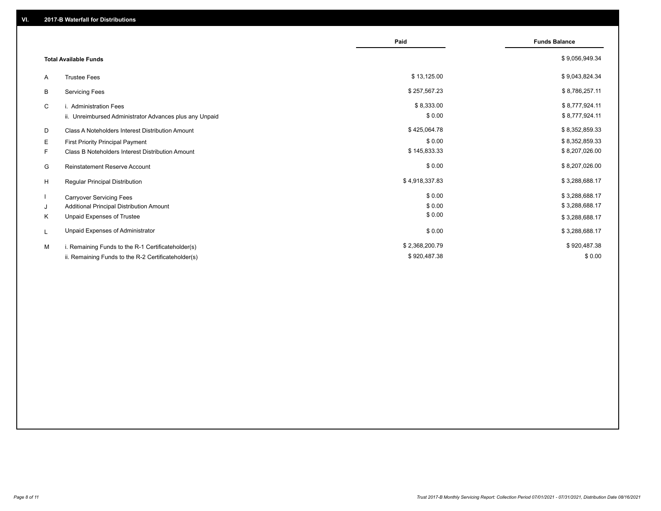|                                               |                                                         | Paid           | <b>Funds Balance</b> |
|-----------------------------------------------|---------------------------------------------------------|----------------|----------------------|
| <b>Total Available Funds</b>                  |                                                         |                | \$9,056,949.34       |
| <b>Trustee Fees</b><br>A                      |                                                         | \$13,125.00    | \$9,043,824.34       |
| B<br><b>Servicing Fees</b>                    |                                                         | \$257,567.23   | \$8,786,257.11       |
| C<br>i. Administration Fees                   |                                                         | \$8,333.00     | \$8,777,924.11       |
|                                               | ii. Unreimbursed Administrator Advances plus any Unpaid | \$0.00         | \$8,777,924.11       |
| D                                             | Class A Noteholders Interest Distribution Amount        | \$425,064.78   | \$8,352,859.33       |
| E<br><b>First Priority Principal Payment</b>  |                                                         | \$0.00         | \$8,352,859.33       |
| F                                             | <b>Class B Noteholders Interest Distribution Amount</b> | \$145,833.33   | \$8,207,026.00       |
| <b>Reinstatement Reserve Account</b><br>G     |                                                         | \$0.00         | \$8,207,026.00       |
| H<br>Regular Principal Distribution           |                                                         | \$4,918,337.83 | \$3,288,688.17       |
| <b>Carryover Servicing Fees</b>               |                                                         | \$0.00         | \$3,288,688.17       |
| Additional Principal Distribution Amount<br>J |                                                         | \$0.00         | \$3,288,688.17       |
| Unpaid Expenses of Trustee<br>Κ               |                                                         | \$0.00         | \$3,288,688.17       |
| Unpaid Expenses of Administrator<br>L         |                                                         | \$0.00         | \$3,288,688.17       |
| М                                             | i. Remaining Funds to the R-1 Certificateholder(s)      | \$2,368,200.79 | \$920,487.38         |
|                                               | ii. Remaining Funds to the R-2 Certificateholder(s)     | \$920,487.38   | \$0.00               |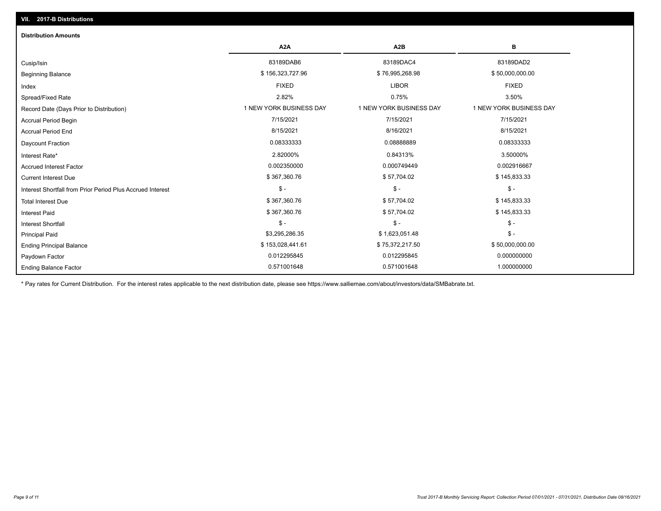| <b>Distribution Amounts</b>                                |                         |                         |                         |
|------------------------------------------------------------|-------------------------|-------------------------|-------------------------|
|                                                            | A <sub>2</sub> A        | A <sub>2</sub> B        | в                       |
| Cusip/Isin                                                 | 83189DAB6               | 83189DAC4               | 83189DAD2               |
| <b>Beginning Balance</b>                                   | \$156,323,727.96        | \$76,995,268.98         | \$50,000,000.00         |
| Index                                                      | <b>FIXED</b>            | <b>LIBOR</b>            | <b>FIXED</b>            |
| Spread/Fixed Rate                                          | 2.82%                   | 0.75%                   | 3.50%                   |
| Record Date (Days Prior to Distribution)                   | 1 NEW YORK BUSINESS DAY | 1 NEW YORK BUSINESS DAY | 1 NEW YORK BUSINESS DAY |
| <b>Accrual Period Begin</b>                                | 7/15/2021               | 7/15/2021               | 7/15/2021               |
| <b>Accrual Period End</b>                                  | 8/15/2021               | 8/16/2021               | 8/15/2021               |
| Daycount Fraction                                          | 0.08333333              | 0.08888889              | 0.08333333              |
| Interest Rate*                                             | 2.82000%                | 0.84313%                | 3.50000%                |
| <b>Accrued Interest Factor</b>                             | 0.002350000             | 0.000749449             | 0.002916667             |
| <b>Current Interest Due</b>                                | \$367,360.76            | \$57,704.02             | \$145,833.33            |
| Interest Shortfall from Prior Period Plus Accrued Interest | $\mathcal{S}$ -         | $$ -$                   | $\mathsf{\$}$ -         |
| <b>Total Interest Due</b>                                  | \$367,360.76            | \$57,704.02             | \$145,833.33            |
| Interest Paid                                              | \$367,360.76            | \$57,704.02             | \$145,833.33            |
| <b>Interest Shortfall</b>                                  | $\mathsf{\$}$ -         | $$ -$                   | $$ -$                   |
| <b>Principal Paid</b>                                      | \$3,295,286.35          | \$1,623,051.48          | $$ -$                   |
| <b>Ending Principal Balance</b>                            | \$153,028,441.61        | \$75,372,217.50         | \$50,000,000.00         |
| Paydown Factor                                             | 0.012295845             | 0.012295845             | 0.000000000             |
| <b>Ending Balance Factor</b>                               | 0.571001648             | 0.571001648             | 1.000000000             |

\* Pay rates for Current Distribution. For the interest rates applicable to the next distribution date, please see https://www.salliemae.com/about/investors/data/SMBabrate.txt.

**VII. 2017-B Distributions**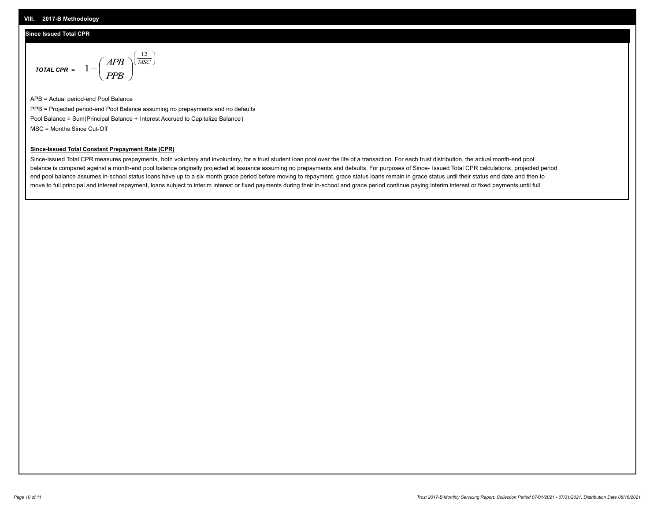#### **VIII. 2017-B Methodology**

#### **Since Issued Total CPR**

$$
\text{total CPR} = 1 - \left(\frac{APB}{PPB}\right)^{\left(\frac{12}{MSC}\right)}
$$

APB = Actual period-end Pool Balance PPB = Projected period-end Pool Balance assuming no prepayments and no defaults Pool Balance = Sum(Principal Balance + Interest Accrued to Capitalize Balance) MSC = Months Since Cut-Off

 $\overline{\phantom{a}}$ J λ

#### **Since-Issued Total Constant Prepayment Rate (CPR)**

Since-Issued Total CPR measures prepayments, both voluntary and involuntary, for a trust student loan pool over the life of a transaction. For each trust distribution, the actual month-end pool balance is compared against a month-end pool balance originally projected at issuance assuming no prepayments and defaults. For purposes of Since- Issued Total CPR calculations, projected period end pool balance assumes in-school status loans have up to a six month grace period before moving to repayment, grace status loans remain in grace status until their status end date and then to move to full principal and interest repayment, loans subject to interim interest or fixed payments during their in-school and grace period continue paying interim interest or fixed payments until full